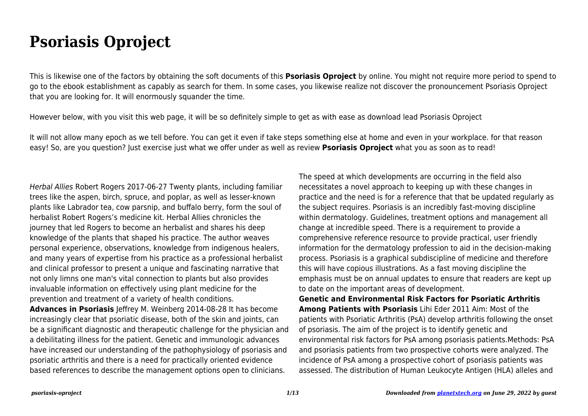## **Psoriasis Oproject**

This is likewise one of the factors by obtaining the soft documents of this **Psoriasis Oproject** by online. You might not require more period to spend to go to the ebook establishment as capably as search for them. In some cases, you likewise realize not discover the pronouncement Psoriasis Oproject that you are looking for. It will enormously squander the time.

However below, with you visit this web page, it will be so definitely simple to get as with ease as download lead Psoriasis Oproject

It will not allow many epoch as we tell before. You can get it even if take steps something else at home and even in your workplace. for that reason easy! So, are you question? Just exercise just what we offer under as well as review **Psoriasis Oproject** what you as soon as to read!

Herbal Allies Robert Rogers 2017-06-27 Twenty plants, including familiar trees like the aspen, birch, spruce, and poplar, as well as lesser-known plants like Labrador tea, cow parsnip, and buffalo berry, form the soul of herbalist Robert Rogers's medicine kit. Herbal Allies chronicles the journey that led Rogers to become an herbalist and shares his deep knowledge of the plants that shaped his practice. The author weaves personal experience, observations, knowledge from indigenous healers, and many years of expertise from his practice as a professional herbalist and clinical professor to present a unique and fascinating narrative that not only limns one man's vital connection to plants but also provides invaluable information on effectively using plant medicine for the prevention and treatment of a variety of health conditions.

**Advances in Psoriasis** Jeffrey M. Weinberg 2014-08-28 It has become increasingly clear that psoriatic disease, both of the skin and joints, can be a significant diagnostic and therapeutic challenge for the physician and a debilitating illness for the patient. Genetic and immunologic advances have increased our understanding of the pathophysiology of psoriasis and psoriatic arthritis and there is a need for practically oriented evidence based references to describe the management options open to clinicians.

The speed at which developments are occurring in the field also necessitates a novel approach to keeping up with these changes in practice and the need is for a reference that that be updated regularly as the subject requires. Psoriasis is an incredibly fast-moving discipline within dermatology. Guidelines, treatment options and management all change at incredible speed. There is a requirement to provide a comprehensive reference resource to provide practical, user friendly information for the dermatology profession to aid in the decision-making process. Psoriasis is a graphical subdiscipline of medicine and therefore this will have copious illustrations. As a fast moving discipline the emphasis must be on annual updates to ensure that readers are kept up to date on the important areas of development.

**Genetic and Environmental Risk Factors for Psoriatic Arthritis Among Patients with Psoriasis** Lihi Eder 2011 Aim: Most of the patients with Psoriatic Arthritis (PsA) develop arthritis following the onset of psoriasis. The aim of the project is to identify genetic and environmental risk factors for PsA among psoriasis patients.Methods: PsA and psoriasis patients from two prospective cohorts were analyzed. The incidence of PsA among a prospective cohort of psoriasis patients was assessed. The distribution of Human Leukocyte Antigen (HLA) alleles and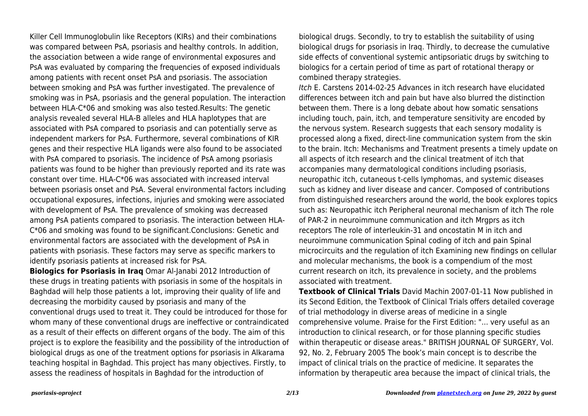Killer Cell Immunoglobulin like Receptors (KIRs) and their combinations was compared between PsA, psoriasis and healthy controls. In addition, the association between a wide range of environmental exposures and PsA was evaluated by comparing the frequencies of exposed individuals among patients with recent onset PsA and psoriasis. The association between smoking and PsA was further investigated. The prevalence of smoking was in PsA, psoriasis and the general population. The interaction between HLA-C\*06 and smoking was also tested.Results: The genetic analysis revealed several HLA-B alleles and HLA haplotypes that are associated with PsA compared to psoriasis and can potentially serve as independent markers for PsA. Furthermore, several combinations of KIR genes and their respective HLA ligands were also found to be associated with PsA compared to psoriasis. The incidence of PsA among psoriasis patients was found to be higher than previously reported and its rate was constant over time. HLA-C\*06 was associated with increased interval between psoriasis onset and PsA. Several environmental factors including occupational exposures, infections, injuries and smoking were associated with development of PsA. The prevalence of smoking was decreased among PsA patients compared to psoriasis. The interaction between HLA-C\*06 and smoking was found to be significant.Conclusions: Genetic and environmental factors are associated with the development of PsA in patients with psoriasis. These factors may serve as specific markers to identify psoriasis patients at increased risk for PsA.

**Biologics for Psoriasis in Iraq** Omar Al-Janabi 2012 Introduction of these drugs in treating patients with psoriasis in some of the hospitals in Baghdad will help those patients a lot, improving their quality of life and decreasing the morbidity caused by psoriasis and many of the conventional drugs used to treat it. They could be introduced for those for whom many of these conventional drugs are ineffective or contraindicated as a result of their effects on different organs of the body. The aim of this project is to explore the feasibility and the possibility of the introduction of biological drugs as one of the treatment options for psoriasis in Alkarama teaching hospital in Baghdad. This project has many objectives. Firstly, to assess the readiness of hospitals in Baghdad for the introduction of

biological drugs. Secondly, to try to establish the suitability of using biological drugs for psoriasis in Iraq. Thirdly, to decrease the cumulative side effects of conventional systemic antipsoriatic drugs by switching to biologics for a certain period of time as part of rotational therapy or combined therapy strategies.

Itch E. Carstens 2014-02-25 Advances in itch research have elucidated differences between itch and pain but have also blurred the distinction between them. There is a long debate about how somatic sensations including touch, pain, itch, and temperature sensitivity are encoded by the nervous system. Research suggests that each sensory modality is processed along a fixed, direct-line communication system from the skin to the brain. Itch: Mechanisms and Treatment presents a timely update on all aspects of itch research and the clinical treatment of itch that accompanies many dermatological conditions including psoriasis, neuropathic itch, cutaneous t-cells lymphomas, and systemic diseases such as kidney and liver disease and cancer. Composed of contributions from distinguished researchers around the world, the book explores topics such as: Neuropathic itch Peripheral neuronal mechanism of itch The role of PAR-2 in neuroimmune communication and itch Mrgprs as itch receptors The role of interleukin-31 and oncostatin M in itch and neuroimmune communication Spinal coding of itch and pain Spinal microcircuits and the regulation of itch Examining new findings on cellular and molecular mechanisms, the book is a compendium of the most current research on itch, its prevalence in society, and the problems associated with treatment.

**Textbook of Clinical Trials** David Machin 2007-01-11 Now published in its Second Edition, the Textbook of Clinical Trials offers detailed coverage of trial methodology in diverse areas of medicine in a single comprehensive volume. Praise for the First Edition: "... very useful as an introduction to clinical research, or for those planning specific studies within therapeutic or disease areas." BRITISH JOURNAL OF SURGERY, Vol. 92, No. 2, February 2005 The book's main concept is to describe the impact of clinical trials on the practice of medicine. It separates the information by therapeutic area because the impact of clinical trials, the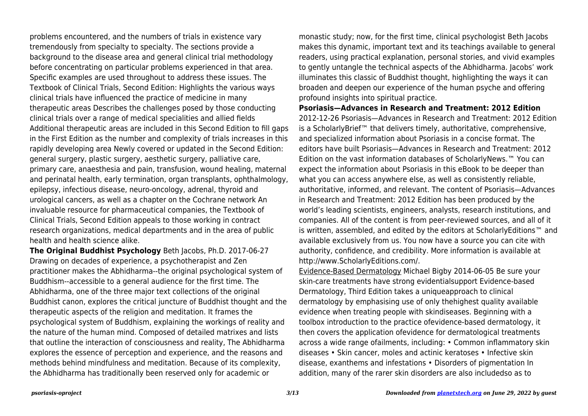problems encountered, and the numbers of trials in existence vary tremendously from specialty to specialty. The sections provide a background to the disease area and general clinical trial methodology before concentrating on particular problems experienced in that area. Specific examples are used throughout to address these issues. The Textbook of Clinical Trials, Second Edition: Highlights the various ways clinical trials have influenced the practice of medicine in many therapeutic areas Describes the challenges posed by those conducting clinical trials over a range of medical specialities and allied fields Additional therapeutic areas are included in this Second Edition to fill gaps in the First Edition as the number and complexity of trials increases in this rapidly developing area Newly covered or updated in the Second Edition: general surgery, plastic surgery, aesthetic surgery, palliative care, primary care, anaesthesia and pain, transfusion, wound healing, maternal and perinatal health, early termination, organ transplants, ophthalmology, epilepsy, infectious disease, neuro-oncology, adrenal, thyroid and urological cancers, as well as a chapter on the Cochrane network An invaluable resource for pharmaceutical companies, the Textbook of Clinical Trials, Second Edition appeals to those working in contract research organizations, medical departments and in the area of public health and health science alike.

**The Original Buddhist Psychology** Beth Jacobs, Ph.D. 2017-06-27 Drawing on decades of experience, a psychotherapist and Zen practitioner makes the Abhidharma--the original psychological system of Buddhism--accessible to a general audience for the first time. The Abhidharma, one of the three major text collections of the original Buddhist canon, explores the critical juncture of Buddhist thought and the therapeutic aspects of the religion and meditation. It frames the psychological system of Buddhism, explaining the workings of reality and the nature of the human mind. Composed of detailed matrixes and lists that outline the interaction of consciousness and reality, The Abhidharma explores the essence of perception and experience, and the reasons and methods behind mindfulness and meditation. Because of its complexity, the Abhidharma has traditionally been reserved only for academic or

monastic study; now, for the first time, clinical psychologist Beth Jacobs makes this dynamic, important text and its teachings available to general readers, using practical explanation, personal stories, and vivid examples to gently untangle the technical aspects of the Abhidharma. Jacobs' work illuminates this classic of Buddhist thought, highlighting the ways it can broaden and deepen our experience of the human psyche and offering profound insights into spiritual practice.

**Psoriasis—Advances in Research and Treatment: 2012 Edition** 2012-12-26 Psoriasis—Advances in Research and Treatment: 2012 Edition is a ScholarlyBrief™ that delivers timely, authoritative, comprehensive, and specialized information about Psoriasis in a concise format. The editors have built Psoriasis—Advances in Research and Treatment: 2012 Edition on the vast information databases of ScholarlyNews.™ You can expect the information about Psoriasis in this eBook to be deeper than what you can access anywhere else, as well as consistently reliable, authoritative, informed, and relevant. The content of Psoriasis—Advances in Research and Treatment: 2012 Edition has been produced by the world's leading scientists, engineers, analysts, research institutions, and companies. All of the content is from peer-reviewed sources, and all of it is written, assembled, and edited by the editors at ScholarlyEditions™ and available exclusively from us. You now have a source you can cite with authority, confidence, and credibility. More information is available at http://www.ScholarlyEditions.com/.

Evidence-Based Dermatology Michael Bigby 2014-06-05 Be sure your skin-care treatments have strong evidentialsupport Evidence-based Dermatology, Third Edition takes a uniqueapproach to clinical dermatology by emphasising use of only thehighest quality available evidence when treating people with skindiseases. Beginning with a toolbox introduction to the practice ofevidence-based dermatology, it then covers the application ofevidence for dermatological treatments across a wide range ofailments, including: • Common inflammatory skin diseases • Skin cancer, moles and actinic keratoses • Infective skin disease, exanthems and infestations • Disorders of pigmentation In addition, many of the rarer skin disorders are also includedso as to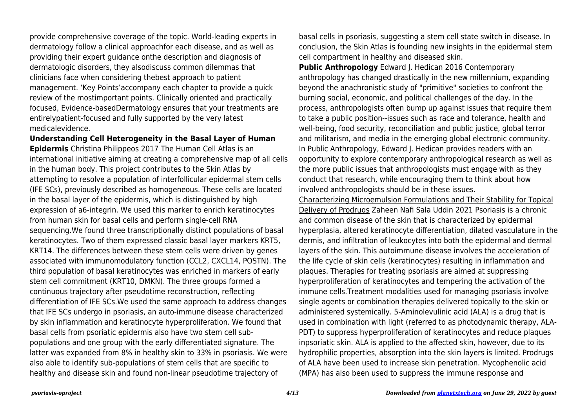provide comprehensive coverage of the topic. World-leading experts in dermatology follow a clinical approachfor each disease, and as well as providing their expert guidance onthe description and diagnosis of dermatologic disorders, they alsodiscuss common dilemmas that clinicians face when considering thebest approach to patient management. 'Key Points'accompany each chapter to provide a quick review of the mostimportant points. Clinically oriented and practically focused, Evidence-basedDermatology ensures that your treatments are entirelypatient-focused and fully supported by the very latest medicalevidence.

**Understanding Cell Heterogeneity in the Basal Layer of Human Epidermis** Christina Philippeos 2017 The Human Cell Atlas is an international initiative aiming at creating a comprehensive map of all cells in the human body. This project contributes to the Skin Atlas by attempting to resolve a population of interfollicular epidermal stem cells (IFE SCs), previously described as homogeneous. These cells are located in the basal layer of the epidermis, which is distinguished by high expression of a6-integrin. We used this marker to enrich keratinocytes from human skin for basal cells and perform single-cell RNA sequencing.We found three transcriptionally distinct populations of basal keratinocytes. Two of them expressed classic basal layer markers KRT5, KRT14. The differences between these stem cells were driven by genes associated with immunomodulatory function (CCL2, CXCL14, POSTN). The third population of basal keratinocytes was enriched in markers of early stem cell commitment (KRT10, DMKN). The three groups formed a continuous trajectory after pseudotime reconstruction, reflecting differentiation of IFE SCs.We used the same approach to address changes that IFE SCs undergo in psoriasis, an auto-immune disease characterized by skin inflammation and keratinocyte hyperproliferation. We found that basal cells from psoriatic epidermis also have two stem cell subpopulations and one group with the early differentiated signature. The latter was expanded from 8% in healthy skin to 33% in psoriasis. We were also able to identify sub-populations of stem cells that are specific to healthy and disease skin and found non-linear pseudotime trajectory of

basal cells in psoriasis, suggesting a stem cell state switch in disease. In conclusion, the Skin Atlas is founding new insights in the epidermal stem cell compartment in healthy and diseased skin.

**Public Anthropology** Edward J. Hedican 2016 Contemporary anthropology has changed drastically in the new millennium, expanding beyond the anachronistic study of "primitive" societies to confront the burning social, economic, and political challenges of the day. In the process, anthropologists often bump up against issues that require them to take a public position--issues such as race and tolerance, health and well-being, food security, reconciliation and public justice, global terror and militarism, and media in the emerging global electronic community. In Public Anthropology, Edward J. Hedican provides readers with an opportunity to explore contemporary anthropological research as well as the more public issues that anthropologists must engage with as they conduct that research, while encouraging them to think about how involved anthropologists should be in these issues.

Characterizing Microemulsion Formulations and Their Stability for Topical Delivery of Prodrugs Zaheen Nafi Sala Uddin 2021 Psoriasis is a chronic and common disease of the skin that is characterized by epidermal hyperplasia, altered keratinocyte differentiation, dilated vasculature in the dermis, and infiltration of leukocytes into both the epidermal and dermal layers of the skin. This autoimmune disease involves the acceleration of the life cycle of skin cells (keratinocytes) resulting in inflammation and plaques. Therapies for treating psoriasis are aimed at suppressing hyperproliferation of keratinocytes and tempering the activation of the immune cells.Treatment modalities used for managing psoriasis involve single agents or combination therapies delivered topically to the skin or administered systemically. 5-Aminolevulinic acid (ALA) is a drug that is used in combination with light (referred to as photodynamic therapy, ALA-PDT) to suppress hyperproliferation of keratinocytes and reduce plaques inpsoriatic skin. ALA is applied to the affected skin, however, due to its hydrophilic properties, absorption into the skin layers is limited. Prodrugs of ALA have been used to increase skin penetration. Mycophenolic acid (MPA) has also been used to suppress the immune response and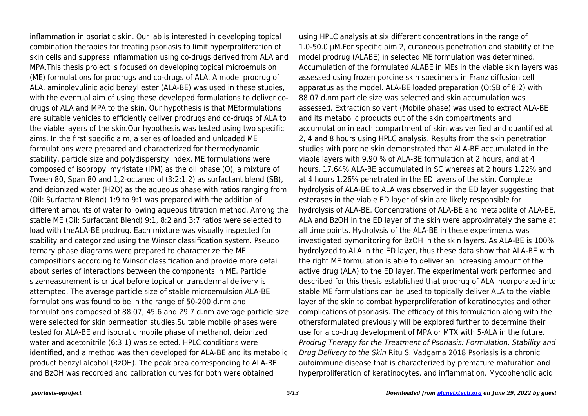inflammation in psoriatic skin. Our lab is interested in developing topical combination therapies for treating psoriasis to limit hyperproliferation of skin cells and suppress inflammation using co-drugs derived from ALA and MPA.This thesis project is focused on developing topical microemulsion (ME) formulations for prodrugs and co-drugs of ALA. A model prodrug of ALA, aminolevulinic acid benzyl ester (ALA-BE) was used in these studies, with the eventual aim of using these developed formulations to deliver codrugs of ALA and MPA to the skin. Our hypothesis is that MEformulations are suitable vehicles to efficiently deliver prodrugs and co-drugs of ALA to the viable layers of the skin.Our hypothesis was tested using two specific aims. In the first specific aim, a series of loaded and unloaded ME formulations were prepared and characterized for thermodynamic stability, particle size and polydispersity index. ME formulations were composed of isopropyl myristate (IPM) as the oil phase (O), a mixture of Tween 80, Span 80 and 1,2-octanediol (3:2:1.2) as surfactant blend (SB), and deionized water (H2O) as the aqueous phase with ratios ranging from (Oil: Surfactant Blend) 1:9 to 9:1 was prepared with the addition of different amounts of water following aqueous titration method. Among the stable ME (Oil: Surfactant Blend) 9:1, 8:2 and 3:7 ratios were selected to load with theALA-BE prodrug. Each mixture was visually inspected for stability and categorized using the Winsor classification system. Pseudo ternary phase diagrams were prepared to characterize the ME compositions according to Winsor classification and provide more detail about series of interactions between the components in ME. Particle sizemeasurement is critical before topical or transdermal delivery is attempted. The average particle size of stable microemulsion ALA-BE formulations was found to be in the range of 50-200 d.nm and formulations composed of 88.07, 45.6 and 29.7 d.nm average particle size were selected for skin permeation studies.Suitable mobile phases were tested for ALA-BE and isocratic mobile phase of methanol, deionized water and acetonitrile (6:3:1) was selected. HPLC conditions were identified, and a method was then developed for ALA-BE and its metabolic product benzyl alcohol (BzOH). The peak area corresponding to ALA-BE and BzOH was recorded and calibration curves for both were obtained

using HPLC analysis at six different concentrations in the range of 1.0-50.0 μM.For specific aim 2, cutaneous penetration and stability of the model prodrug (ALABE) in selected ME formulation was determined. Accumulation of the formulated ALABE in MEs in the viable skin layers was assessed using frozen porcine skin specimens in Franz diffusion cell apparatus as the model. ALA-BE loaded preparation (O:SB of 8:2) with 88.07 d.nm particle size was selected and skin accumulation was assessed. Extraction solvent (Mobile phase) was used to extract ALA-BE and its metabolic products out of the skin compartments and accumulation in each compartment of skin was verified and quantified at 2, 4 and 8 hours using HPLC analysis. Results from the skin penetration studies with porcine skin demonstrated that ALA-BE accumulated in the viable layers with 9.90 % of ALA-BE formulation at 2 hours, and at 4 hours, 17.64% ALA-BE accumulated in SC whereas at 2 hours 1.22% and at 4 hours 1.26% penetrated in the ED layers of the skin. Complete hydrolysis of ALA-BE to ALA was observed in the ED layer suggesting that esterases in the viable ED layer of skin are likely responsible for hydrolysis of ALA-BE. Concentrations of ALA-BE and metabolite of ALA-BE, ALA and BzOH in the ED layer of the skin were approximately the same at all time points. Hydrolysis of the ALA-BE in these experiments was investigated bymonitoring for BzOH in the skin layers. As ALA-BE is 100% hydrolyzed to ALA in the ED layer, thus these data show that ALA-BE with the right ME formulation is able to deliver an increasing amount of the active drug (ALA) to the ED layer. The experimental work performed and described for this thesis established that prodrug of ALA incorporated into stable ME formulations can be used to topically deliver ALA to the viable layer of the skin to combat hyperproliferation of keratinocytes and other complications of psoriasis. The efficacy of this formulation along with the othersformulated previously will be explored further to determine their use for a co-drug development of MPA or MTX with 5-ALA in the future. Prodrug Therapy for the Treatment of Psoriasis: Formulation, Stability and Drug Delivery to the Skin Ritu S. Vadgama 2018 Psoriasis is a chronic autoimmune disease that is characterized by premature maturation and hyperproliferation of keratinocytes, and inflammation. Mycophenolic acid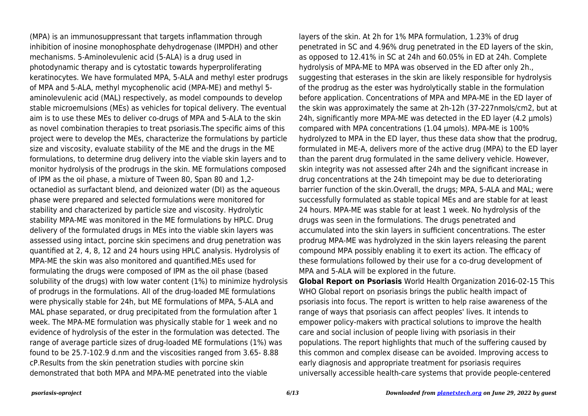(MPA) is an immunosuppressant that targets inflammation through inhibition of inosine monophosphate dehydrogenase (IMPDH) and other mechanisms. 5-Aminolevulenic acid (5-ALA) is a drug used in photodynamic therapy and is cytostatic towards hyperproliferating keratinocytes. We have formulated MPA, 5-ALA and methyl ester prodrugs of MPA and 5-ALA, methyl mycophenolic acid (MPA-ME) and methyl 5 aminolevulenic acid (MAL) respectively, as model compounds to develop stable microemulsions (MEs) as vehicles for topical delivery. The eventual aim is to use these MEs to deliver co-drugs of MPA and 5-ALA to the skin as novel combination therapies to treat psoriasis.The specific aims of this project were to develop the MEs, characterize the formulations by particle size and viscosity, evaluate stability of the ME and the drugs in the ME formulations, to determine drug delivery into the viable skin layers and to monitor hydrolysis of the prodrugs in the skin. ME formulations composed of IPM as the oil phase, a mixture of Tween 80, Span 80 and 1,2 octanediol as surfactant blend, and deionized water (DI) as the aqueous phase were prepared and selected formulations were monitored for stability and characterized by particle size and viscosity. Hydrolytic stability MPA-ME was monitored in the ME formulations by HPLC. Drug delivery of the formulated drugs in MEs into the viable skin layers was assessed using intact, porcine skin specimens and drug penetration was quantified at 2, 4, 8, 12 and 24 hours using HPLC analysis. Hydrolysis of MPA-ME the skin was also monitored and quantified.MEs used for formulating the drugs were composed of IPM as the oil phase (based solubility of the drugs) with low water content (1%) to minimize hydrolysis of prodrugs in the formulations. All of the drug-loaded ME formulations were physically stable for 24h, but ME formulations of MPA, 5-ALA and MAL phase separated, or drug precipitated from the formulation after 1 week. The MPA-ME formulation was physically stable for 1 week and no evidence of hydrolysis of the ester in the formulation was detected. The range of average particle sizes of drug-loaded ME formulations (1%) was found to be 25.7-102.9 d.nm and the viscosities ranged from 3.65- 8.88 cP.Results from the skin penetration studies with porcine skin demonstrated that both MPA and MPA-ME penetrated into the viable

layers of the skin. At 2h for 1% MPA formulation, 1.23% of drug penetrated in SC and 4.96% drug penetrated in the ED layers of the skin, as opposed to 12.41% in SC at 24h and 60.05% in ED at 24h. Complete hydrolysis of MPA-ME to MPA was observed in the ED after only 2h., suggesting that esterases in the skin are likely responsible for hydrolysis of the prodrug as the ester was hydrolytically stable in the formulation before application. Concentrations of MPA and MPA-ME in the ED layer of the skin was approximately the same at 2h-12h (37-227nmols/cm2, but at 24h, significantly more MPA-ME was detected in the ED layer (4.2 μmols) compared with MPA concentrations (1.04 μmols). MPA-ME is 100% hydrolyzed to MPA in the ED layer, thus these data show that the prodrug, formulated in ME-A, delivers more of the active drug (MPA) to the ED layer than the parent drug formulated in the same delivery vehicle. However, skin integrity was not assessed after 24h and the significant increase in drug concentrations at the 24h timepoint may be due to deteriorating barrier function of the skin.Overall, the drugs; MPA, 5-ALA and MAL; were successfully formulated as stable topical MEs and are stable for at least 24 hours. MPA-ME was stable for at least 1 week. No hydrolysis of the drugs was seen in the formulations. The drugs penetrated and accumulated into the skin layers in sufficient concentrations. The ester prodrug MPA-ME was hydrolyzed in the skin layers releasing the parent compound MPA possibly enabling it to exert its action. The efficacy of these formulations followed by their use for a co-drug development of MPA and 5-ALA will be explored in the future.

**Global Report on Psoriasis** World Health Organization 2016-02-15 This WHO Global report on psoriasis brings the public health impact of psoriasis into focus. The report is written to help raise awareness of the range of ways that psoriasis can affect peoples' lives. It intends to empower policy-makers with practical solutions to improve the health care and social inclusion of people living with psoriasis in their populations. The report highlights that much of the suffering caused by this common and complex disease can be avoided. Improving access to early diagnosis and appropriate treatment for psoriasis requires universally accessible health-care systems that provide people-centered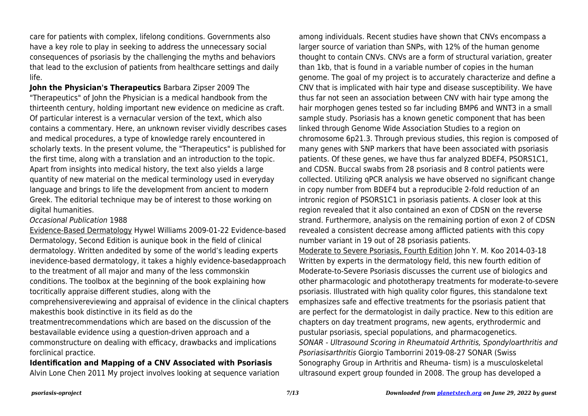care for patients with complex, lifelong conditions. Governments also have a key role to play in seeking to address the unnecessary social consequences of psoriasis by the challenging the myths and behaviors that lead to the exclusion of patients from healthcare settings and daily life.

**John the Physician's Therapeutics** Barbara Zipser 2009 The "Therapeutics" of John the Physician is a medical handbook from the thirteenth century, holding important new evidence on medicine as craft. Of particular interest is a vernacular version of the text, which also contains a commentary. Here, an unknown reviser vividly describes cases and medical procedures, a type of knowledge rarely encountered in scholarly texts. In the present volume, the "Therapeutics" is published for the first time, along with a translation and an introduction to the topic. Apart from insights into medical history, the text also yields a large quantity of new material on the medical terminology used in everyday language and brings to life the development from ancient to modern Greek. The editorial technique may be of interest to those working on digital humanities.

Occasional Publication 1988

Evidence-Based Dermatology Hywel Williams 2009-01-22 Evidence-based Dermatology, Second Edition is aunique book in the field of clinical dermatology. Written andedited by some of the world's leading experts inevidence-based dermatology, it takes a highly evidence-basedapproach to the treatment of all major and many of the less commonskin conditions. The toolbox at the beginning of the book explaining how tocritically appraise different studies, along with the comprehensivereviewing and appraisal of evidence in the clinical chapters makesthis book distinctive in its field as do the

treatmentrecommendations which are based on the discussion of the bestavailable evidence using a question-driven approach and a commonstructure on dealing with efficacy, drawbacks and implications forclinical practice.

**Identification and Mapping of a CNV Associated with Psoriasis** Alvin Lone Chen 2011 My project involves looking at sequence variation among individuals. Recent studies have shown that CNVs encompass a larger source of variation than SNPs, with 12% of the human genome thought to contain CNVs. CNVs are a form of structural variation, greater than 1kb, that is found in a variable number of copies in the human genome. The goal of my project is to accurately characterize and define a CNV that is implicated with hair type and disease susceptibility. We have thus far not seen an association between CNV with hair type among the hair morphogen genes tested so far including BMP6 and WNT3 in a small sample study. Psoriasis has a known genetic component that has been linked through Genome Wide Association Studies to a region on chromosome 6p21.3. Through previous studies, this region is composed of many genes with SNP markers that have been associated with psoriasis patients. Of these genes, we have thus far analyzed BDEF4, PSORS1C1, and CDSN. Buccal swabs from 28 psoriasis and 8 control patients were collected. Utilizing qPCR analysis we have observed no significant change in copy number from BDEF4 but a reproducible 2-fold reduction of an intronic region of PSORS1C1 in psoriasis patients. A closer look at this region revealed that it also contained an exon of CDSN on the reverse strand. Furthermore, analysis on the remaining portion of exon 2 of CDSN revealed a consistent decrease among afflicted patients with this copy number variant in 19 out of 28 psoriasis patients.

Moderate to Severe Psoriasis, Fourth Edition John Y. M. Koo 2014-03-18 Written by experts in the dermatology field, this new fourth edition of Moderate-to-Severe Psoriasis discusses the current use of biologics and other pharmacologic and phototherapy treatments for moderate-to-severe psoriasis. Illustrated with high quality color figures, this standalone text emphasizes safe and effective treatments for the psoriasis patient that are perfect for the dermatologist in daily practice. New to this edition are chapters on day treatment programs, new agents, erythrodermic and pustular psoriasis, special populations, and pharmacogenetics. SONAR - Ultrasound Scoring in Rheumatoid Arthritis, Spondyloarthritis and Psoriasisarthritis Giorgio Tamborrini 2019-08-27 SONAR (Swiss Sonography Group in Arthritis and Rheuma- tism) is a musculoskeletal ultrasound expert group founded in 2008. The group has developed a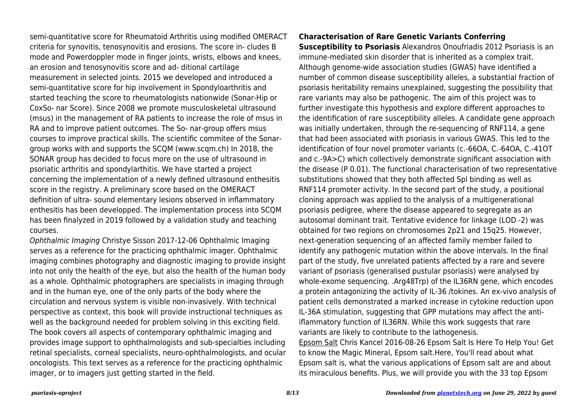semi-quantitative score for Rheumatoid Arthritis using modified OMERACT criteria for synovitis, tenosynovitis and erosions. The score in- cludes B mode and Powerdoppler mode in finger joints, wrists, elbows and knees, an erosion and tenosynovitis score and ad- ditional cartilage measurement in selected joints. 2015 we developed and introduced a semi-quantitative score for hip involvement in Spondyloarthritis and started teaching the score to rheumatologists nationwide (Sonar-Hip or CoxSo- nar Score). Since 2008 we promote musculoskeletal ultrasound (msus) in the management of RA patients to increase the role of msus in RA and to improve patient outcomes. The So- nar-group offers msus courses to improve practical skills. The scientific commitee of the Sonargroup works with and supports the SCQM (www.scqm.ch) In 2018, the SONAR group has decided to focus more on the use of ultrasound in psoriatic arthritis and spondylarthitis. We have started a project concerning the implementation of a newly defined ultrasound enthesitis score in the registry. A preliminary score based on the OMERACT definition of ultra- sound elementary lesions observed in inflammatory enthesitis has been developped. The implementation process into SCQM has been finalyzed in 2019 followed by a validation study and teaching courses.

Ophthalmic Imaging Christye Sisson 2017-12-06 Ophthalmic Imaging serves as a reference for the practicing ophthalmic imager. Ophthalmic imaging combines photography and diagnostic imaging to provide insight into not only the health of the eye, but also the health of the human body as a whole. Ophthalmic photographers are specialists in imaging through and in the human eye, one of the only parts of the body where the circulation and nervous system is visible non-invasively. With technical perspective as context, this book will provide instructional techniques as well as the background needed for problem solving in this exciting field. The book covers all aspects of contemporary ophthalmic imaging and provides image support to ophthalmologists and sub-specialties including retinal specialists, corneal specialists, neuro-ophthalmologists, and ocular oncologists. This text serves as a reference for the practicing ophthalmic imager, or to imagers just getting started in the field.

## **Characterisation of Rare Genetic Variants Conferring**

**Susceptibility to Psoriasis** Alexandros Onoufriadis 2012 Psoriasis is an immune-mediated skin disorder that is inherited as a complex trait. Although genome-wide association studies (GWAS) have identified a number of common disease susceptibility alleles, a substantial fraction of psoriasis heritability remains unexplained, suggesting the possibility that rare variants may also be pathogenic. The aim of this project was to further investigate this hypothesis and explore different approaches to the identification of rare susceptibility alleles. A candidate gene approach was initially undertaken, through the re-sequencing of RNF114, a gene that had been associated with psoriasis in various GWAS. This led to the identification of four novel promoter variants (c.-66OA, C.-64OA, C.-41OT and c.-9A>C) which collectively demonstrate significant association with the disease (P 0.01). The functional characterisation of two representative substitutions showed that they both affected Spl binding as well as RNF114 promoter activity. In the second part of the study, a positional cloning approach was applied to the analysis of a multigenerational psoriasis pedigree, where the disease appeared to segregate as an autosomal dominant trait. Tentative evidence for linkage (LOD -2) was obtained for two regions on chromosomes 2p21 and 15q25. However, next-generation sequencing of an affected family member failed to identify any pathogenic mutation within the above intervals. In the final part of the study, five unrelated patients affected by a rare and severe variant of psoriasis (generalised pustular psoriasis) were analysed by whole-exome sequencing. .Arg48Trp) of the IL36RN gene, which encodes a protein antagonizing the activity of IL-36 /tokines. An ex-vivo analysis of patient cells demonstrated a marked increase in cytokine reduction upon IL-36A stimulation, suggesting that GPP mutations may affect the antiiflammatory function of IL36RN. While this work suggests that rare variants are likely to contribute to the lathogenesis.

Epsom Salt Chris Kancel 2016-08-26 Epsom Salt Is Here To Help You! Get to know the Magic Mineral, Epsom salt.Here, You'll read about what Epsom salt is, what the various applications of Epsom salt are and about its miraculous benefits. Plus, we will provide you with the 33 top Epsom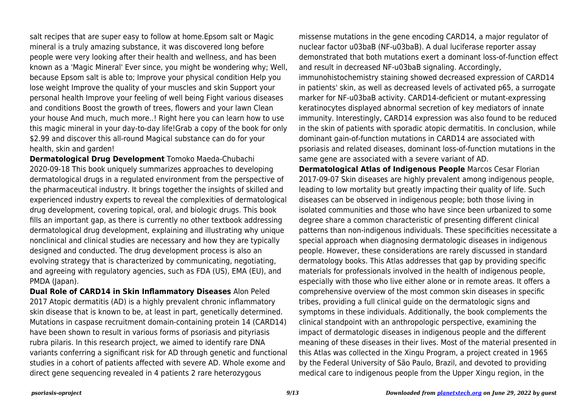salt recipes that are super easy to follow at home.Epsom salt or Magic mineral is a truly amazing substance, it was discovered long before people were very looking after their health and wellness, and has been known as a 'Magic Mineral' Ever since, you might be wondering why; Well, because Epsom salt is able to; Improve your physical condition Help you lose weight Improve the quality of your muscles and skin Support your personal health Improve your feeling of well being Fight various diseases and conditions Boost the growth of trees, flowers and your lawn Clean your house And much, much more..! Right here you can learn how to use this magic mineral in your day-to-day life!Grab a copy of the book for only \$2.99 and discover this all-round Magical substance can do for your health, skin and garden!

**Dermatological Drug Development** Tomoko Maeda-Chubachi 2020-09-18 This book uniquely summarizes approaches to developing dermatological drugs in a regulated environment from the perspective of the pharmaceutical industry. It brings together the insights of skilled and experienced industry experts to reveal the complexities of dermatological drug development, covering topical, oral, and biologic drugs. This book fills an important gap, as there is currently no other textbook addressing dermatological drug development, explaining and illustrating why unique nonclinical and clinical studies are necessary and how they are typically designed and conducted. The drug development process is also an evolving strategy that is characterized by communicating, negotiating, and agreeing with regulatory agencies, such as FDA (US), EMA (EU), and PMDA (Japan).

**Dual Role of CARD14 in Skin Inflammatory Diseases** Alon Peled 2017 Atopic dermatitis (AD) is a highly prevalent chronic inflammatory skin disease that is known to be, at least in part, genetically determined. Mutations in caspase recruitment domain-containing protein 14 (CARD14) have been shown to result in various forms of psoriasis and pityriasis rubra pilaris. In this research project, we aimed to identify rare DNA variants conferring a significant risk for AD through genetic and functional studies in a cohort of patients affected with severe AD. Whole exome and direct gene sequencing revealed in 4 patients 2 rare heterozygous

missense mutations in the gene encoding CARD14, a major regulator of nuclear factor u03baB (NF-u03baB). A dual luciferase reporter assay demonstrated that both mutations exert a dominant loss-of-function effect and result in decreased NF-u03baB signaling. Accordingly, immunohistochemistry staining showed decreased expression of CARD14 in patients' skin, as well as decreased levels of activated p65, a surrogate marker for NF-u03baB activity. CARD14-deficient or mutant-expressing keratinocytes displayed abnormal secretion of key mediators of innate immunity. Interestingly, CARD14 expression was also found to be reduced in the skin of patients with sporadic atopic dermatitis. In conclusion, while dominant gain-of-function mutations in CARD14 are associated with psoriasis and related diseases, dominant loss-of-function mutations in the same gene are associated with a severe variant of AD.

**Dermatological Atlas of Indigenous People** Marcos Cesar Florian 2017-09-07 Skin diseases are highly prevalent among indigenous people, leading to low mortality but greatly impacting their quality of life. Such diseases can be observed in indigenous people; both those living in isolated communities and those who have since been urbanized to some degree share a common characteristic of presenting different clinical patterns than non-indigenous individuals. These specificities necessitate a special approach when diagnosing dermatologic diseases in indigenous people. However, these considerations are rarely discussed in standard dermatology books. This Atlas addresses that gap by providing specific materials for professionals involved in the health of indigenous people, especially with those who live either alone or in remote areas. It offers a comprehensive overview of the most common skin diseases in specific tribes, providing a full clinical guide on the dermatologic signs and symptoms in these individuals. Additionally, the book complements the clinical standpoint with an anthropologic perspective, examining the impact of dermatologic diseases in indigenous people and the different meaning of these diseases in their lives. Most of the material presented in this Atlas was collected in the Xingu Program, a project created in 1965 by the Federal University of São Paulo, Brazil, and devoted to providing medical care to indigenous people from the Upper Xingu region, in the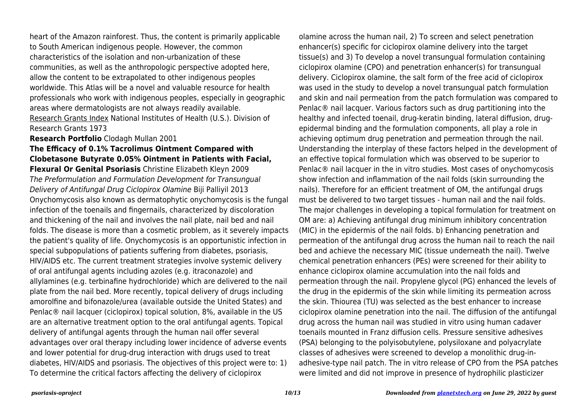heart of the Amazon rainforest. Thus, the content is primarily applicable to South American indigenous people. However, the common characteristics of the isolation and non-urbanization of these communities, as well as the anthropologic perspective adopted here, allow the content to be extrapolated to other indigenous peoples worldwide. This Atlas will be a novel and valuable resource for health professionals who work with indigenous peoples, especially in geographic areas where dermatologists are not always readily available. Research Grants Index National Institutes of Health (U.S.). Division of Research Grants 1973

## **Research Portfolio** Clodagh Mullan 2001

**The Efficacy of 0.1% Tacrolimus Ointment Compared with Clobetasone Butyrate 0.05% Ointment in Patients with Facial, Flexural Or Genital Psoriasis** Christine Elizabeth Kleyn 2009 The Preformulation and Formulation Development for Transungual Delivery of Antifungal Drug Ciclopirox Olamine Biji Palliyil 2013 Onychomycosis also known as dermatophytic onychomycosis is the fungal infection of the toenails and fingernails, characterized by discoloration and thickening of the nail and involves the nail plate, nail bed and nail folds. The disease is more than a cosmetic problem, as it severely impacts the patient's quality of life. Onychomycosis is an opportunistic infection in special subpopulations of patients suffering from diabetes, psoriasis, HIV/AIDS etc. The current treatment strategies involve systemic delivery of oral antifungal agents including azoles (e.g. itraconazole) and allylamines (e.g. terbinafine hydrochloride) which are delivered to the nail plate from the nail bed. More recently, topical delivery of drugs including amorolfine and bifonazole/urea (available outside the United States) and Penlac® nail lacquer (ciclopirox) topical solution, 8%, available in the US are an alternative treatment option to the oral antifungal agents. Topical delivery of antifungal agents through the human nail offer several advantages over oral therapy including lower incidence of adverse events and lower potential for drug-drug interaction with drugs used to treat diabetes, HIV/AIDS and psoriasis. The objectives of this project were to: 1) To determine the critical factors affecting the delivery of ciclopirox

olamine across the human nail, 2) To screen and select penetration enhancer(s) specific for ciclopirox olamine delivery into the target tissue(s) and 3) To develop a novel transungual formulation containing ciclopirox olamine (CPO) and penetration enhancer(s) for transungual delivery. Ciclopirox olamine, the salt form of the free acid of ciclopirox was used in the study to develop a novel transungual patch formulation and skin and nail permeation from the patch formulation was compared to Penlac® nail lacquer. Various factors such as drug partitioning into the healthy and infected toenail, drug-keratin binding, lateral diffusion, drugepidermal binding and the formulation components, all play a role in achieving optimum drug penetration and permeation through the nail. Understanding the interplay of these factors helped in the development of an effective topical formulation which was observed to be superior to Penlac® nail lacquer in the in vitro studies. Most cases of onychomycosis show infection and inflammation of the nail folds (skin surrounding the nails). Therefore for an efficient treatment of OM, the antifungal drugs must be delivered to two target tissues - human nail and the nail folds. The major challenges in developing a topical formulation for treatment on OM are: a) Achieving antifungal drug minimum inhibitory concentration (MIC) in the epidermis of the nail folds. b) Enhancing penetration and permeation of the antifungal drug across the human nail to reach the nail bed and achieve the necessary MIC (tissue underneath the nail). Twelve chemical penetration enhancers (PEs) were screened for their ability to enhance ciclopirox olamine accumulation into the nail folds and permeation through the nail. Propylene glycol (PG) enhanced the levels of the drug in the epidermis of the skin while limiting its permeation across the skin. Thiourea (TU) was selected as the best enhancer to increase ciclopirox olamine penetration into the nail. The diffusion of the antifungal drug across the human nail was studied in vitro using human cadaver toenails mounted in Franz diffusion cells. Pressure sensitive adhesives (PSA) belonging to the polyisobutylene, polysiloxane and polyacrylate classes of adhesives were screened to develop a monolithic drug-inadhesive-type nail patch. The in vitro release of CPO from the PSA patches were limited and did not improve in presence of hydrophilic plasticizer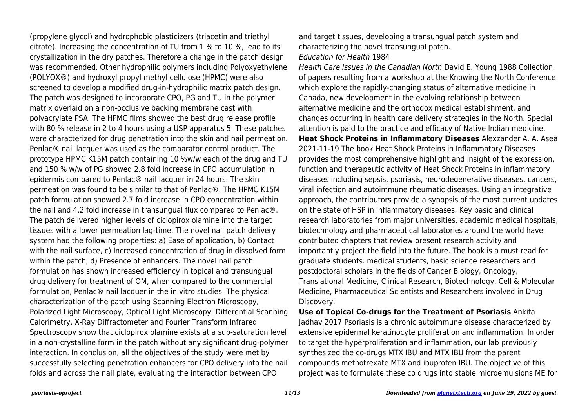(propylene glycol) and hydrophobic plasticizers (triacetin and triethyl citrate). Increasing the concentration of TU from 1 % to 10 %, lead to its crystallization in the dry patches. Therefore a change in the patch design was recommended. Other hydrophilic polymers including Polyoxyethylene (POLYOX®) and hydroxyl propyl methyl cellulose (HPMC) were also screened to develop a modified drug-in-hydrophilic matrix patch design. The patch was designed to incorporate CPO, PG and TU in the polymer matrix overlaid on a non-occlusive backing membrane cast with polyacrylate PSA. The HPMC films showed the best drug release profile with 80 % release in 2 to 4 hours using a USP apparatus 5. These patches were characterized for drug penetration into the skin and nail permeation. Penlac® nail lacquer was used as the comparator control product. The prototype HPMC K15M patch containing 10 %w/w each of the drug and TU and 150 % w/w of PG showed 2.8 fold increase in CPO accumulation in epidermis compared to Penlac® nail lacquer in 24 hours. The skin permeation was found to be similar to that of Penlac®. The HPMC K15M patch formulation showed 2.7 fold increase in CPO concentration within the nail and 4.2 fold increase in transungual flux compared to Penlac®. The patch delivered higher levels of ciclopirox olamine into the target tissues with a lower permeation lag-time. The novel nail patch delivery system had the following properties: a) Ease of application, b) Contact with the nail surface, c) Increased concentration of drug in dissolved form within the patch, d) Presence of enhancers. The novel nail patch formulation has shown increased efficiency in topical and transungual drug delivery for treatment of OM, when compared to the commercial formulation, Penlac® nail lacquer in the in vitro studies. The physical characterization of the patch using Scanning Electron Microscopy, Polarized Light Microscopy, Optical Light Microscopy, Differential Scanning Calorimetry, X-Ray Diffractometer and Fourier Transform Infrared Spectroscopy show that ciclopirox olamine exists at a sub-saturation level in a non-crystalline form in the patch without any significant drug-polymer interaction. In conclusion, all the objectives of the study were met by successfully selecting penetration enhancers for CPO delivery into the nail folds and across the nail plate, evaluating the interaction between CPO

and target tissues, developing a transungual patch system and characterizing the novel transungual patch. Education for Health 1984

Health Care Issues in the Canadian North David E. Young 1988 Collection of papers resulting from a workshop at the Knowing the North Conference which explore the rapidly-changing status of alternative medicine in Canada, new development in the evolving relationship between alternative medicine and the orthodox medical establishment, and changes occurring in health care delivery strategies in the North. Special attention is paid to the practice and efficacy of Native Indian medicine. **Heat Shock Proteins in Inflammatory Diseases** Alexzander A. A. Asea 2021-11-19 The book Heat Shock Proteins in Inflammatory Diseases provides the most comprehensive highlight and insight of the expression, function and therapeutic activity of Heat Shock Proteins in inflammatory diseases including sepsis, psoriasis, neurodegenerative diseases, cancers, viral infection and autoimmune rheumatic diseases. Using an integrative approach, the contributors provide a synopsis of the most current updates on the state of HSP in inflammatory diseases. Key basic and clinical research laboratories from major universities, academic medical hospitals, biotechnology and pharmaceutical laboratories around the world have contributed chapters that review present research activity and importantly project the field into the future. The book is a must read for graduate students. medical students, basic science researchers and postdoctoral scholars in the fields of Cancer Biology, Oncology, Translational Medicine, Clinical Research, Biotechnology, Cell & Molecular Medicine, Pharmaceutical Scientists and Researchers involved in Drug Discovery.

**Use of Topical Co-drugs for the Treatment of Psoriasis** Ankita Jadhav 2017 Psoriasis is a chronic autoimmune disease characterized by extensive epidermal keratinocyte proliferation and inflammation. In order to target the hyperproliferation and inflammation, our lab previously synthesized the co-drugs MTX IBU and MTX IBU from the parent compounds methotrexate MTX and ibuprofen IBU. The objective of this project was to formulate these co drugs into stable microemulsions ME for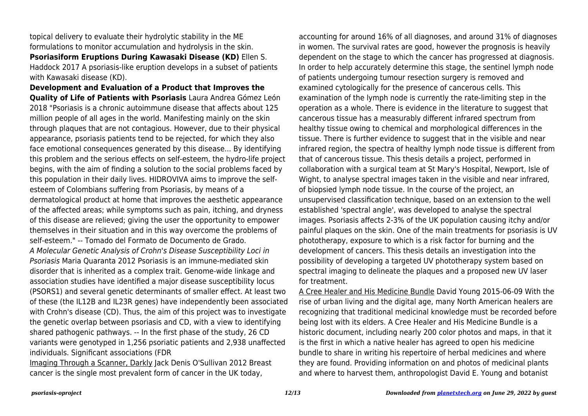topical delivery to evaluate their hydrolytic stability in the ME formulations to monitor accumulation and hydrolysis in the skin. **Psoriasiform Eruptions During Kawasaki Disease (KD)** Ellen S. Haddock 2017 A psoriasis-like eruption develops in a subset of patients with Kawasaki disease (KD).

**Development and Evaluation of a Product that Improves the Quality of Life of Patients with Psoriasis** Laura Andrea Gómez León 2018 "Psoriasis is a chronic autoimmune disease that affects about 125 million people of all ages in the world. Manifesting mainly on the skin through plaques that are not contagious. However, due to their physical appearance, psoriasis patients tend to be rejected, for which they also face emotional consequences generated by this disease... By identifying this problem and the serious effects on self-esteem, the hydro-life project begins, with the aim of finding a solution to the social problems faced by this population in their daily lives. HIDROVIVA aims to improve the selfesteem of Colombians suffering from Psoriasis, by means of a dermatological product at home that improves the aesthetic appearance of the affected areas; while symptoms such as pain, itching, and dryness of this disease are relieved; giving the user the opportunity to empower themselves in their situation and in this way overcome the problems of self-esteem." -- Tomado del Formato de Documento de Grado. A Molecular Genetic Analysis of Crohn's Disease Susceptibility Loci in Psoriasis Maria Quaranta 2012 Psoriasis is an immune-mediated skin disorder that is inherited as a complex trait. Genome-wide linkage and association studies have identified a major disease susceptibility locus (PSORS1) and several genetic determinants of smaller effect. At least two of these (the IL12B and IL23R genes) have independently been associated with Crohn's disease (CD). Thus, the aim of this project was to investigate the genetic overlap between psoriasis and CD, with a view to identifying shared pathogenic pathways. -- In the first phase of the study, 26 CD variants were genotyped in 1,256 psoriatic patients and 2,938 unaffected individuals. Significant associations (FDR

Imaging Through a Scanner, Darkly Jack Denis O'Sullivan 2012 Breast cancer is the single most prevalent form of cancer in the UK today,

accounting for around 16% of all diagnoses, and around 31% of diagnoses in women. The survival rates are good, however the prognosis is heavily dependent on the stage to which the cancer has progressed at diagnosis. In order to help accurately determine this stage, the sentinel lymph node of patients undergoing tumour resection surgery is removed and examined cytologically for the presence of cancerous cells. This examination of the lymph node is currently the rate-limiting step in the operation as a whole. There is evidence in the literature to suggest that cancerous tissue has a measurably different infrared spectrum from healthy tissue owing to chemical and morphological differences in the tissue. There is further evidence to suggest that in the visible and near infrared region, the spectra of healthy lymph node tissue is different from that of cancerous tissue. This thesis details a project, performed in collaboration with a surgical team at St Mary's Hospital, Newport, Isle of Wight, to analyse spectral images taken in the visible and near infrared, of biopsied lymph node tissue. In the course of the project, an unsupervised classification technique, based on an extension to the well established 'spectral angle', was developed to analyse the spectral images. Psoriasis affects 2-3% of the UK population causing itchy and/or painful plaques on the skin. One of the main treatments for psoriasis is UV phototherapy, exposure to which is a risk factor for burning and the development of cancers. This thesis details an investigation into the possibility of developing a targeted UV phototherapy system based on spectral imaging to delineate the plaques and a proposed new UV laser for treatment.

A Cree Healer and His Medicine Bundle David Young 2015-06-09 With the rise of urban living and the digital age, many North American healers are recognizing that traditional medicinal knowledge must be recorded before being lost with its elders. A Cree Healer and His Medicine Bundle is a historic document, including nearly 200 color photos and maps, in that it is the first in which a native healer has agreed to open his medicine bundle to share in writing his repertoire of herbal medicines and where they are found. Providing information on and photos of medicinal plants and where to harvest them, anthropologist David E. Young and botanist